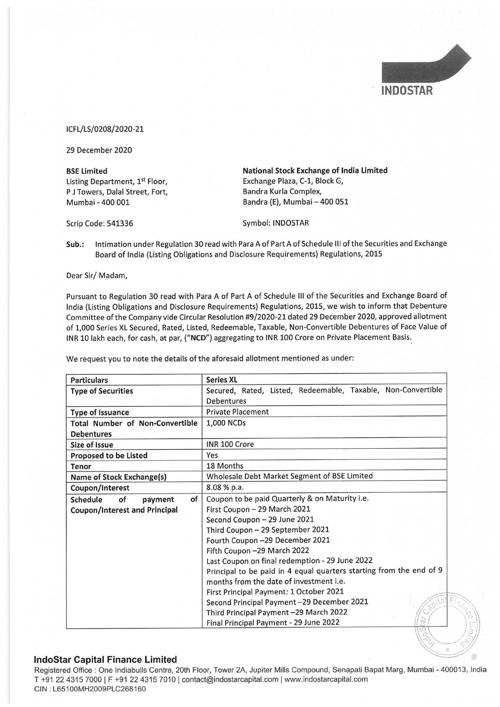

## ICFL/LS/0208/2020-21

Pursuant to Regulation 30 read with Para A of Part A of Schedule Ill of the Securities and Exchange Board of India (Listing Obligations and Disclosure Requirements) Regulations, 2015, we wish to inform that Debenture Committee of the Company vide Circular Resolution #9/2020-21 dated 29 December 2020, approved allotment of 1,000 Series XL Secured, Rated, Listed, Redeemable, Taxable, Non-Convertible Debentures of Face Value of INR 10 lakh each, for cash, at par, ("NCD") aggregating to INR 100 Crore on Private Placement Basis. ICFL/LS/0208/2020-21<br>
29 December 2020<br>
BSE Limited Mat<br>
Listing Department, 1<sup>st</sup> Floor, Excl<br>
PJ Towers, Dalal Street, Fort, Excl<br>
Ban<br>
Mumbai - 400 001<br>
Scrip Code: 541336 Syn<br>
Sub.: Intimation under Regulation 30 read CFL/LS/0208/2020-21<br>
29 December 2020<br>
129 December 2020<br>
129 December 2020<br>
129 December 2020<br>
129 December 2020<br>
129 December 14: Floor, Exchange 11<br>
129 December 14: Band 12<br>
129 Serip Code: 541336<br>
129 Serip Code: 5413 ICFL/LS/0208/2020-21<br>
29 December 2020<br>
BSE Limited Listing Department, 1<sup>st</sup> Floor, Excember 2020<br>
BSE Limited Listing Department, 1<sup>st</sup> Floor, Excember 1<br>
Discussions Ban Ban Ban<br>
Scrip Code: 541336 Symmetric Properties ICFL/LS/0208/2020-21<br>
29 December 2020<br>
BSE Limited Mating Department, 1<sup>1</sup> Floor, Excember 2020<br>
BSE Limited Listing Department, 1<sup>1</sup> Floor, Excember 2020<br>
For P J Towers, Dalal Street, Fort, Ban<br>
Ban<br>
Scrip Code: 541336

|                                                      | <b>INDOSTAR</b>                                                                                                                                                                                                                                                                                                                                                                                                                                                                                                                                                                                                                                    |
|------------------------------------------------------|----------------------------------------------------------------------------------------------------------------------------------------------------------------------------------------------------------------------------------------------------------------------------------------------------------------------------------------------------------------------------------------------------------------------------------------------------------------------------------------------------------------------------------------------------------------------------------------------------------------------------------------------------|
| ICFL/LS/0208/2020-21                                 |                                                                                                                                                                                                                                                                                                                                                                                                                                                                                                                                                                                                                                                    |
| 29 December 2020                                     |                                                                                                                                                                                                                                                                                                                                                                                                                                                                                                                                                                                                                                                    |
| <b>BSE Limited</b><br>Listing Department, 1st Floor, | National Stock Exchange of India Limited<br>Exchange Plaza, C-1, Block G,                                                                                                                                                                                                                                                                                                                                                                                                                                                                                                                                                                          |
| P J Towers, Dalal Street, Fort,<br>Mumbai - 400 001  | Bandra Kurla Complex,<br>Bandra (E), Mumbai - 400 051                                                                                                                                                                                                                                                                                                                                                                                                                                                                                                                                                                                              |
| Scrip Code: 541336                                   | Symbol: INDOSTAR                                                                                                                                                                                                                                                                                                                                                                                                                                                                                                                                                                                                                                   |
| Sub.:                                                | Intimation under Regulation 30 read with Para A of Part A of Schedule III of the Securities and Exchange<br>Board of India (Listing Obligations and Disclosure Requirements) Regulations, 2015                                                                                                                                                                                                                                                                                                                                                                                                                                                     |
| Dear Sir/ Madam,                                     |                                                                                                                                                                                                                                                                                                                                                                                                                                                                                                                                                                                                                                                    |
|                                                      | Pursuant to Regulation 30 read with Para A of Part A of Schedule III of the Securities and Exchange Board of<br>India (Listing Obligations and Disclosure Requirements) Regulations, 2015, we wish to inform that Debenture<br>Committee of the Company vide Circular Resolution #9/2020-21 dated 29 December 2020, approved allotment<br>of 1,000 Series XL Secured, Rated, Listed, Redeemable, Taxable, Non-Convertible Debentures of Face Value of<br>INR 10 lakh each, for cash, at par, ("NCD") aggregating to INR 100 Crore on Private Placement Basis.<br>We request you to note the details of the aforesaid allotment mentioned as under: |
| <b>Particulars</b>                                   | <b>Series XL</b>                                                                                                                                                                                                                                                                                                                                                                                                                                                                                                                                                                                                                                   |
| <b>Type of Securities</b>                            | Secured, Rated, Listed, Redeemable, Taxable, Non-Convertible<br><b>Debentures</b>                                                                                                                                                                                                                                                                                                                                                                                                                                                                                                                                                                  |
| <b>Type of Issuance</b>                              | <b>Private Placement</b>                                                                                                                                                                                                                                                                                                                                                                                                                                                                                                                                                                                                                           |
| <b>Total Number of Non-Convertible</b>               | 1,000 NCDs                                                                                                                                                                                                                                                                                                                                                                                                                                                                                                                                                                                                                                         |
| <b>Debentures</b>                                    |                                                                                                                                                                                                                                                                                                                                                                                                                                                                                                                                                                                                                                                    |
| Size of Issue                                        | INR 100 Crore                                                                                                                                                                                                                                                                                                                                                                                                                                                                                                                                                                                                                                      |
| <b>Proposed to be Listed</b>                         | Yes                                                                                                                                                                                                                                                                                                                                                                                                                                                                                                                                                                                                                                                |
| Tenor                                                | 18 Months                                                                                                                                                                                                                                                                                                                                                                                                                                                                                                                                                                                                                                          |
| Name of Stock Exchange(s)                            | Wholesale Debt Market Segment of BSE Limited                                                                                                                                                                                                                                                                                                                                                                                                                                                                                                                                                                                                       |
| Coupon/Interest                                      | 8.08 % p.a.                                                                                                                                                                                                                                                                                                                                                                                                                                                                                                                                                                                                                                        |
| Schedule<br>of<br>of<br>payment                      | Coupon to be paid Quarterly & on Maturity i.e.                                                                                                                                                                                                                                                                                                                                                                                                                                                                                                                                                                                                     |
| <b>Coupon/Interest and Principal</b>                 | First Coupon - 29 March 2021<br>Second Coupon - 29 June 2021                                                                                                                                                                                                                                                                                                                                                                                                                                                                                                                                                                                       |
|                                                      | Third Coupon - 29 September 2021                                                                                                                                                                                                                                                                                                                                                                                                                                                                                                                                                                                                                   |
|                                                      | Fourth Coupon -29 December 2021                                                                                                                                                                                                                                                                                                                                                                                                                                                                                                                                                                                                                    |
|                                                      | Fifth Coupon -29 March 2022                                                                                                                                                                                                                                                                                                                                                                                                                                                                                                                                                                                                                        |
|                                                      | Last Coupon on final redemption - 29 June 2022                                                                                                                                                                                                                                                                                                                                                                                                                                                                                                                                                                                                     |
|                                                      | Principal to be paid in 4 equal quarters starting from the end of 9                                                                                                                                                                                                                                                                                                                                                                                                                                                                                                                                                                                |
|                                                      | months from the date of investment i.e.                                                                                                                                                                                                                                                                                                                                                                                                                                                                                                                                                                                                            |
|                                                      | First Principal Payment: 1 October 2021                                                                                                                                                                                                                                                                                                                                                                                                                                                                                                                                                                                                            |
|                                                      | Second Principal Payment-29 December 2021                                                                                                                                                                                                                                                                                                                                                                                                                                                                                                                                                                                                          |
|                                                      | Third Principal Payment-29 March 2022                                                                                                                                                                                                                                                                                                                                                                                                                                                                                                                                                                                                              |
|                                                      | Final Principal Payment - 29 June 2022                                                                                                                                                                                                                                                                                                                                                                                                                                                                                                                                                                                                             |

## IndoStar Capital Finance Limited

Registered Office : One Indiabulls Centre, 20th Floor, Tower 2A, Jupiter Mills Compound, Senapati Bapat Marg, Mumbai - 400013, India T +91 22 4315 7000 | F +91 22 4315 7010 | contact@indostarcapital.com | www.indostarcapital.com CIN :L65100MH2009PLC268160